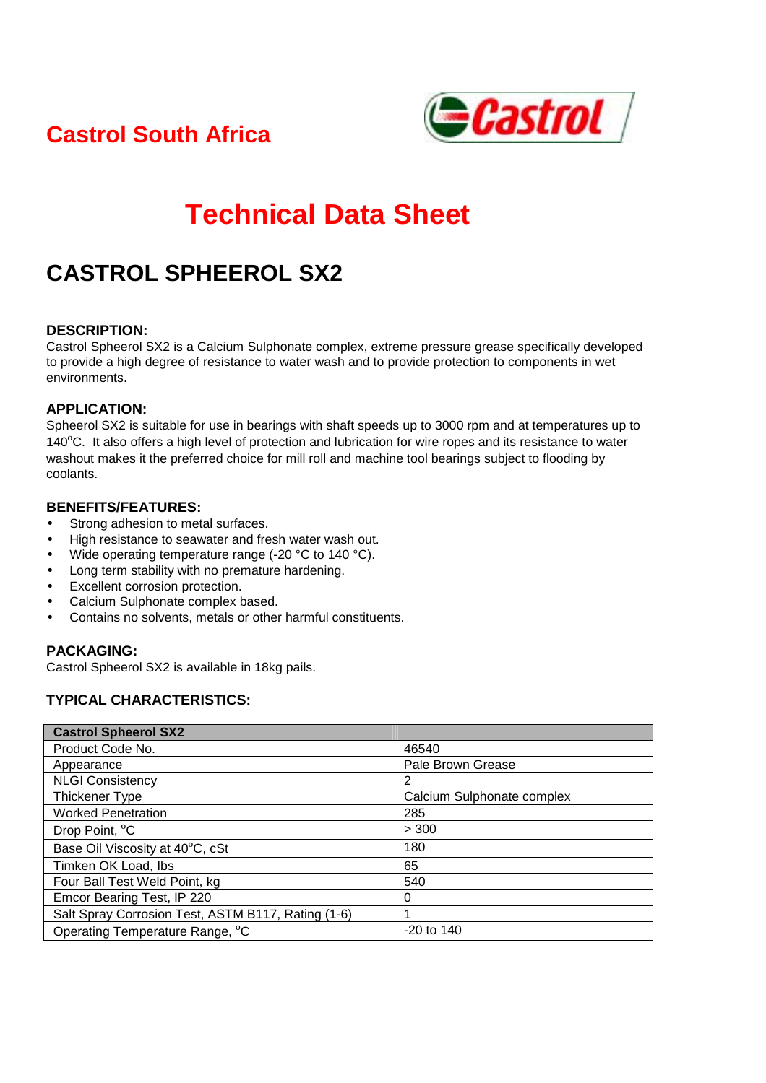**Castrol South Africa** 



# **Technical Data Sheet**

# **CASTROL SPHEEROL SX2**

#### **DESCRIPTION:**

Castrol Spheerol SX2 is a Calcium Sulphonate complex, extreme pressure grease specifically developed to provide a high degree of resistance to water wash and to provide protection to components in wet environments.

#### **APPLICATION:**

Spheerol SX2 is suitable for use in bearings with shaft speeds up to 3000 rpm and at temperatures up to 140ºC. It also offers a high level of protection and lubrication for wire ropes and its resistance to water washout makes it the preferred choice for mill roll and machine tool bearings subject to flooding by coolants.

#### **BENEFITS/FEATURES:**

- Strong adhesion to metal surfaces.
- High resistance to seawater and fresh water wash out.
- Wide operating temperature range (-20 °C to 140 °C).
- Long term stability with no premature hardening.
- Excellent corrosion protection.
- Calcium Sulphonate complex based.
- Contains no solvents, metals or other harmful constituents.

# **PACKAGING:**

Castrol Spheerol SX2 is available in 18kg pails.

# **TYPICAL CHARACTERISTICS:**

| <b>Castrol Spheerol SX2</b>                        |                            |
|----------------------------------------------------|----------------------------|
| Product Code No.                                   | 46540                      |
| Appearance                                         | Pale Brown Grease          |
| <b>NLGI Consistency</b>                            | 2                          |
| Thickener Type                                     | Calcium Sulphonate complex |
| <b>Worked Penetration</b>                          | 285                        |
| Drop Point, <sup>o</sup> C                         | > 300                      |
| Base Oil Viscosity at 40°C, cSt                    | 180                        |
| Timken OK Load, Ibs                                | 65                         |
| Four Ball Test Weld Point, kg                      | 540                        |
| Emcor Bearing Test, IP 220                         | 0                          |
| Salt Spray Corrosion Test, ASTM B117, Rating (1-6) | 1                          |
| Operating Temperature Range, °C                    | $-20$ to 140               |